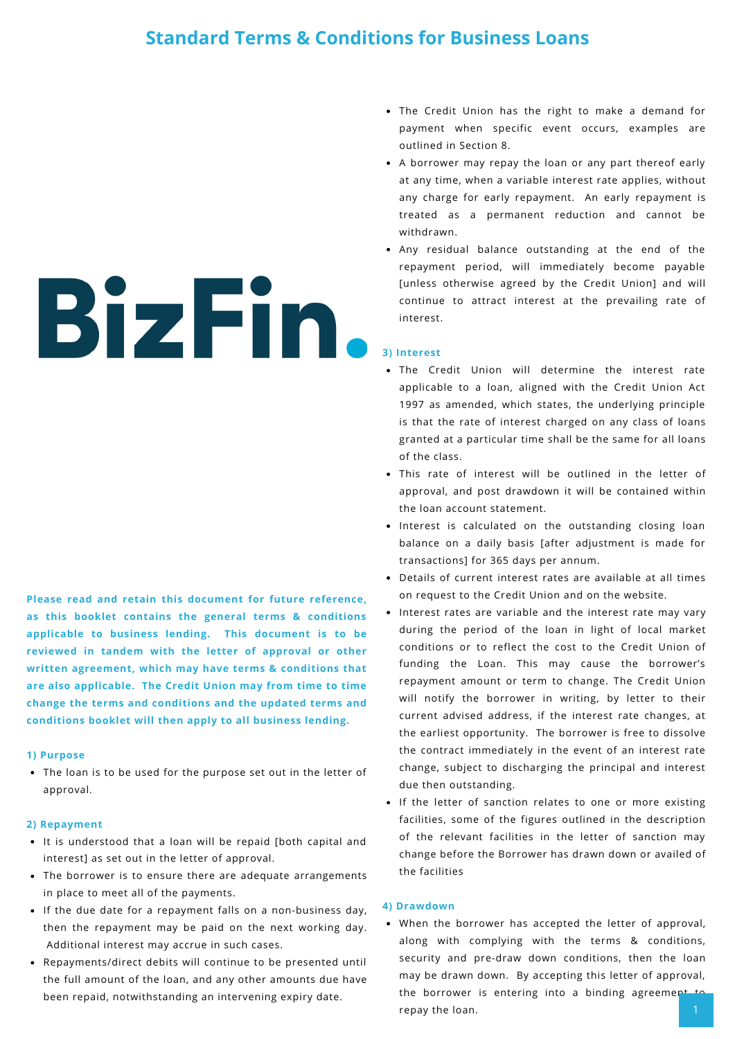# **Standard Terms & Conditions for Business Loans**

# BizFin.

**Please read and retain this document for future reference, as this booklet contains the general terms & conditions applicable to business lending. This document is to be reviewed in tandem with the letter of approval or other written agreement, which may have terms & conditions that are also applicable. The Credit Union may from time to time change the terms and conditions and the updated terms and conditions booklet will then apply to all business lending.**

### **1) Purpose**

The loan is to be used for the purpose set out in the letter of approval.

### **2) Repayment**

- It is understood that a loan will be repaid [both capital and interest] as set out in the letter of approval.
- The borrower is to ensure there are adequate arrangements in place to meet all of the payments.
- If the due date for a repayment falls on a non-business day, then the repayment may be paid on the next working day. Additional interest may accrue in such cases.
- Repayments/direct debits will continue to be presented until the full amount of the loan, and any other amounts due have been repaid, notwithstanding an intervening expiry date.
- The Credit Union has the right to make a demand for payment when specific event occurs, examples are outlined in Section 8.
- A borrower may repay the loan or any part thereof early at any time, when a variable interest rate applies, without any charge for early repayment. An early repayment is treated as a permanent reduction and cannot be withdrawn.
- Any residual balance outstanding at the end of the repayment period, will immediately become payable [unless otherwise agreed by the Credit Union] and will continue to attract interest at the prevailing rate of interest.

### **3) Interest**

- The Credit Union will determine the interest rate applicable to a loan, aligned with the Credit Union Act 1997 as amended, which states, the underlying principle is that the rate of interest charged on any class of loans granted at a particular time shall be the same for all loans of the class.
- This rate of interest will be outlined in the letter of approval, and post drawdown it will be contained within the loan account statement.
- Interest is calculated on the outstanding closing loan balance on a daily basis [after adjustment is made for transactions] for 365 days per annum.
- Details of current interest rates are available at all times on request to the Credit Union and on the website.
- Interest rates are variable and the interest rate may vary during the period of the loan in light of local market conditions or to reflect the cost to the Credit Union of funding the Loan. This may cause the borrower's repayment amount or term to change. The Credit Union will notify the borrower in writing, by letter to their current advised address, if the interest rate changes, at the earliest opportunity. The borrower is free to dissolve the contract immediately in the event of an interest rate change, subject to discharging the principal and interest due then outstanding.
- If the letter of sanction relates to one or more existing facilities, some of the figures outlined in the description of the relevant facilities in the letter of sanction may change before the Borrower has drawn down or availed of the facilities

### **4) Drawdown**

When the borrower has accepted the letter of approval, along with complying with the terms & conditions, security and pre-draw down conditions, then the loan may be drawn down. By accepting this letter of approval, the borrower is entering into a binding agreement repay the loan.